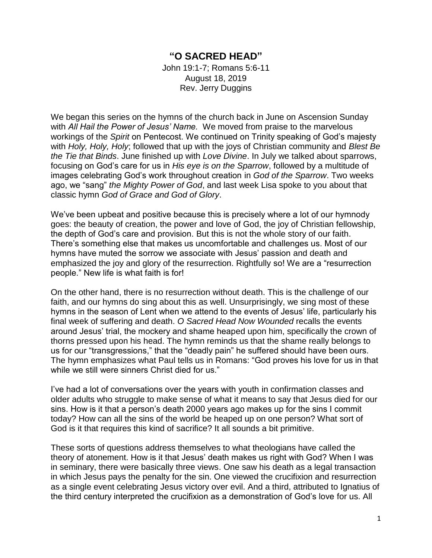## **"O SACRED HEAD"**

John 19:1-7; Romans 5:6-11 August 18, 2019 Rev. Jerry Duggins

We began this series on the hymns of the church back in June on Ascension Sunday with *All Hail the Power of Jesus' Name.* We moved from praise to the marvelous workings of the *Spirit* on Pentecost. We continued on Trinity speaking of God's majesty with *Holy, Holy, Holy*; followed that up with the joys of Christian community and *Blest Be the Tie that Binds*. June finished up with *Love Divine*. In July we talked about sparrows, focusing on God's care for us in *His eye is on the Sparrow*, followed by a multitude of images celebrating God's work throughout creation in *God of the Sparrow*. Two weeks ago, we "sang" *the Mighty Power of God*, and last week Lisa spoke to you about that classic hymn *God of Grace and God of Glory*.

We've been upbeat and positive because this is precisely where a lot of our hymnody goes: the beauty of creation, the power and love of God, the joy of Christian fellowship, the depth of God's care and provision. But this is not the whole story of our faith. There's something else that makes us uncomfortable and challenges us. Most of our hymns have muted the sorrow we associate with Jesus' passion and death and emphasized the joy and glory of the resurrection. Rightfully so! We are a "resurrection people." New life is what faith is for!

On the other hand, there is no resurrection without death. This is the challenge of our faith, and our hymns do sing about this as well. Unsurprisingly, we sing most of these hymns in the season of Lent when we attend to the events of Jesus' life, particularly his final week of suffering and death. *O Sacred Head Now Wounded* recalls the events around Jesus' trial, the mockery and shame heaped upon him, specifically the crown of thorns pressed upon his head. The hymn reminds us that the shame really belongs to us for our "transgressions," that the "deadly pain" he suffered should have been ours. The hymn emphasizes what Paul tells us in Romans: "God proves his love for us in that while we still were sinners Christ died for us."

I've had a lot of conversations over the years with youth in confirmation classes and older adults who struggle to make sense of what it means to say that Jesus died for our sins. How is it that a person's death 2000 years ago makes up for the sins I commit today? How can all the sins of the world be heaped up on one person? What sort of God is it that requires this kind of sacrifice? It all sounds a bit primitive.

These sorts of questions address themselves to what theologians have called the theory of atonement. How is it that Jesus' death makes us right with God? When I was in seminary, there were basically three views. One saw his death as a legal transaction in which Jesus pays the penalty for the sin. One viewed the crucifixion and resurrection as a single event celebrating Jesus victory over evil. And a third, attributed to Ignatius of the third century interpreted the crucifixion as a demonstration of God's love for us. All